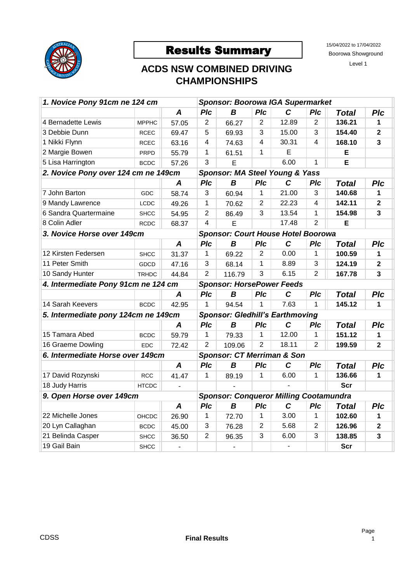

## Results Summary 15/04/2022 to 17/04/2022

Boorowa Showground

Level 1

## **ACDS NSW COMBINED DRIVING CHAMPIONSHIPS**

| 1. Novice Pony 91cm ne 124 cm                                             |              |                          | <b>Sponsor: Boorowa IGA Supermarket</b> |                                           |                |              |                |              |                         |  |  |
|---------------------------------------------------------------------------|--------------|--------------------------|-----------------------------------------|-------------------------------------------|----------------|--------------|----------------|--------------|-------------------------|--|--|
|                                                                           |              | $\boldsymbol{A}$         | PIc                                     | B                                         | PIc            | $\mathbf C$  | PIc            | <b>Total</b> | PIc                     |  |  |
| 4 Bernadette Lewis                                                        | <b>MPPHC</b> | 57.05                    | $\overline{2}$                          | 66.27                                     | $\overline{2}$ | 12.89        | 2              | 136.21       | 1                       |  |  |
| 3 Debbie Dunn                                                             | <b>RCEC</b>  | 69.47                    | 5                                       | 69.93                                     | 3              | 15.00        | 3              | 154.40       | $\mathbf{2}$            |  |  |
| 1 Nikki Flynn                                                             | <b>RCEC</b>  | 63.16                    | 4                                       | 74.63                                     | 4              | 30.31        | 4              | 168.10       | 3                       |  |  |
| 2 Margie Bowen                                                            | <b>PRPD</b>  | 55.79                    | $\mathbf 1$                             | 61.51                                     | $\mathbf 1$    | E            |                | Е            |                         |  |  |
| 5 Lisa Harrington                                                         | <b>BCDC</b>  | 57.26                    | 3                                       | E                                         |                | 6.00         | $\mathbf{1}$   | E            |                         |  |  |
| 2. Novice Pony over 124 cm ne 149cm                                       |              |                          | Sponsor: MA Steel Young & Yass          |                                           |                |              |                |              |                         |  |  |
|                                                                           |              | $\boldsymbol{A}$         | PIc                                     | B                                         | PIc            | $\mathbf C$  | Plc            | <b>Total</b> | PIc                     |  |  |
| 7 John Barton                                                             | <b>GDC</b>   | 58.74                    | 3                                       | 60.94                                     | 1              | 21.00        | 3              | 140.68       | 1                       |  |  |
| 9 Mandy Lawrence                                                          | LCDC         | 49.26                    | $\mathbf{1}$                            | 70.62                                     | 2              | 22.23        | $\overline{4}$ | 142.11       | $\overline{\mathbf{2}}$ |  |  |
| 6 Sandra Quartermaine                                                     | <b>SHCC</b>  | 54.95                    | $\overline{2}$                          | 86.49                                     | 3              | 13.54        | 1              | 154.98       | $\overline{\mathbf{3}}$ |  |  |
| 8 Colin Adler                                                             | <b>RCDC</b>  | 68.37                    | $\overline{\mathbf{4}}$                 | E                                         |                | 17.48        | 2              | E            |                         |  |  |
| 3. Novice Horse over 149cm                                                |              |                          |                                         | <b>Sponsor: Court House Hotel Boorowa</b> |                |              |                |              |                         |  |  |
|                                                                           |              | $\boldsymbol{A}$         | Plc                                     | B                                         | PIc            | $\mathbf{C}$ | Plc            | <b>Total</b> | Plc                     |  |  |
| 12 Kirsten Federsen                                                       | <b>SHCC</b>  | 31.37                    | $\mathbf{1}$                            | 69.22                                     | $\overline{2}$ | 0.00         | $\mathbf{1}$   | 100.59       | 1.                      |  |  |
| 11 Peter Smith                                                            | GDCD         | 47.16                    | 3                                       | 68.14                                     | $\mathbf{1}$   | 8.89         | 3              | 124.19       | $\overline{2}$          |  |  |
| 10 Sandy Hunter                                                           | <b>TRHDC</b> | 44.84                    | $\overline{2}$                          | 116.79                                    | 3              | 6.15         | 2              | 167.78       | 3                       |  |  |
| 4. Intermediate Pony 91cm ne 124 cm                                       |              |                          | <b>Sponsor: HorsePower Feeds</b>        |                                           |                |              |                |              |                         |  |  |
|                                                                           |              | $\boldsymbol{A}$         | PIc                                     | B                                         | PIc            | C            | PIc            | <b>Total</b> | Plc                     |  |  |
| 14 Sarah Keevers                                                          | <b>BCDC</b>  | 42.95                    | $\mathbf 1$                             | 94.54                                     | 1              | 7.63         | $\mathbf 1$    | 145.12       | 1                       |  |  |
| 5. Intermediate pony 124cm ne 149cm                                       |              |                          | <b>Sponsor: Gledhill's Earthmoving</b>  |                                           |                |              |                |              |                         |  |  |
|                                                                           |              | $\boldsymbol{A}$         | PIc                                     | $\boldsymbol{B}$                          | PIc            | $\mathbf c$  | PIc            | <b>Total</b> | Plc                     |  |  |
| 15 Tamara Abed                                                            | <b>BCDC</b>  | 59.79                    | $\mathbf{1}$                            | 79.33                                     | $\mathbf{1}$   | 12.00        | $\mathbf 1$    | 151.12       | 1                       |  |  |
| 16 Graeme Dowling                                                         | EDC.         | 72.42                    | $\overline{2}$                          | 109.06                                    | $\overline{2}$ | 18.11        | 2              | 199.59       | $\mathbf{2}$            |  |  |
| 6. Intermediate Horse over 149cm                                          |              |                          | <b>Sponsor: CT Merriman &amp; Son</b>   |                                           |                |              |                |              |                         |  |  |
|                                                                           |              | A                        | Plc                                     | B                                         | Plc            | $\mathbf C$  | Plc            | <b>Total</b> | Plc                     |  |  |
| 17 David Rozynski                                                         | <b>RCC</b>   | 41.47                    | 1                                       | 89.19                                     | 1              | 6.00         | $\mathbf{1}$   | 136.66       | $\mathbf 1$             |  |  |
| 18 Judy Harris                                                            | <b>HTCDC</b> |                          |                                         |                                           |                |              |                | <b>Scr</b>   |                         |  |  |
| 9. Open Horse over 149cm<br><b>Sponsor: Conqueror Milling Cootamundra</b> |              |                          |                                         |                                           |                |              |                |              |                         |  |  |
|                                                                           |              | $\boldsymbol{A}$         | Plc                                     | B                                         | Plc            | $\mathbf C$  | Plc            | <b>Total</b> | PIc                     |  |  |
| 22 Michelle Jones                                                         | OHCDC        | 26.90                    | $\mathbf{1}$                            | 72.70                                     | 1              | 3.00         | $\mathbf 1$    | 102.60       | 1                       |  |  |
| 20 Lyn Callaghan                                                          | <b>BCDC</b>  | 45.00                    | 3                                       | 76.28                                     | 2              | 5.68         | 2              | 126.96       | $\mathbf{2}$            |  |  |
| 21 Belinda Casper                                                         | <b>SHCC</b>  | 36.50                    | $\overline{2}$                          | 96.35                                     | $\overline{3}$ | 6.00         | 3              | 138.85       | 3                       |  |  |
| 19 Gail Bain                                                              | <b>SHCC</b>  | $\overline{\phantom{a}}$ |                                         | $\overline{a}$                            |                |              |                | <b>Scr</b>   |                         |  |  |